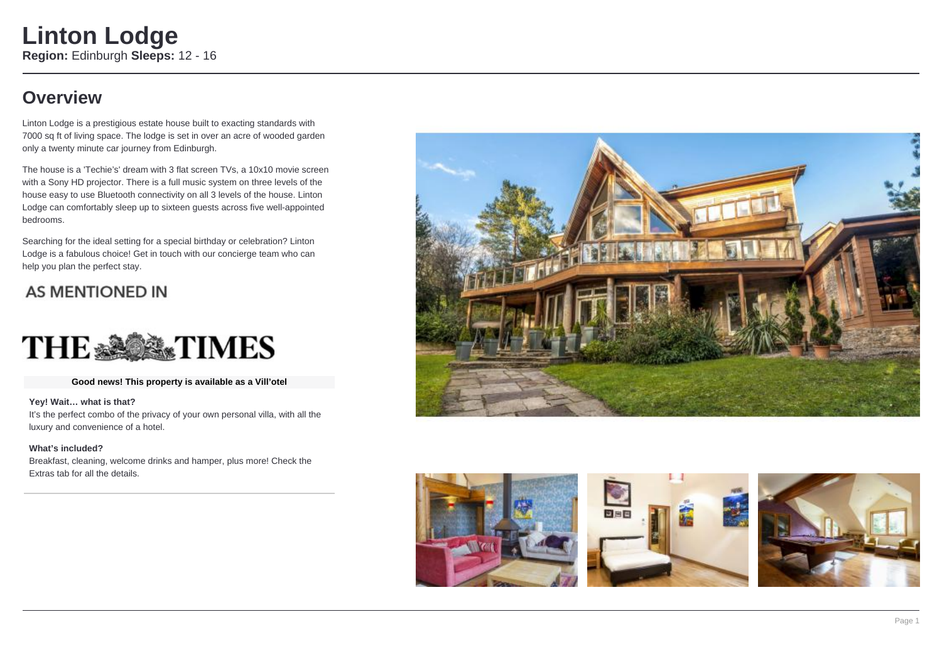# **Overview**

Linton Lodge is a prestigious estate house built to exacting standards with 7000 sq ft of living space. The lodge is set in over an acre of wooded garden only a twenty minute car journey from Edinburgh.

The house is a 'Techie's' dream with 3 flat screen TVs, a 10x10 movie screen with a Sony HD projector. There is a full music system on three levels of the house easy to use Bluetooth connectivity on all 3 levels of the house. Linton Lodge can comfortably sleep up to sixteen guests across five well-appointed bedrooms.

Searching for the ideal setting for a special birthday or celebration? Linton Lodge is a fabulous choice! Get in touch with our concierge team who can help you plan the perfect stay.

## **AS MENTIONED IN**



#### **Good news! This property is available as a Vill'otel**

#### **Yey! Wait… what is that?**

It's the perfect combo of the privacy of your own personal villa, with all the luxury and convenience of a hotel.

#### **What's included?**

Breakfast, cleaning, welcome drinks and hamper, plus more! Check the Extras tab for all the details.



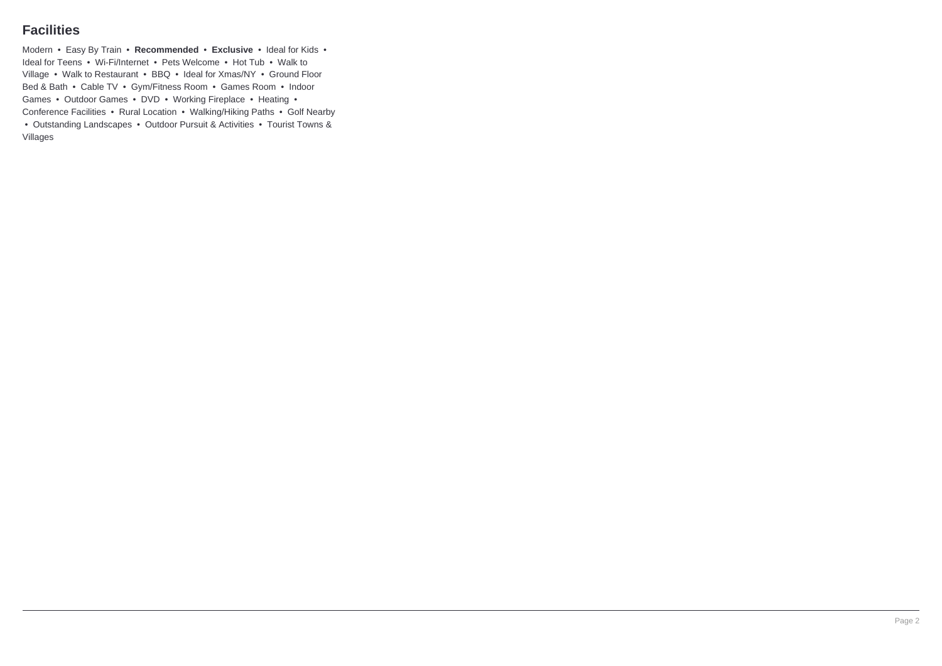## **Facilities**

Modern • Easy By Train • **Recommended** • **Exclusive** • Ideal for Kids • Ideal for Teens • Wi-Fi/Internet • Pets Welcome • Hot Tub • Walk to Village • Walk to Restaurant • BBQ • Ideal for Xmas/NY • Ground Floor Bed & Bath • Cable TV • Gym/Fitness Room • Games Room • Indoor Games • Outdoor Games • DVD • Working Fireplace • Heating • Conference Facilities • Rural Location • Walking/Hiking Paths • Golf Nearby • Outstanding Landscapes • Outdoor Pursuit & Activities • Tourist Towns & Villages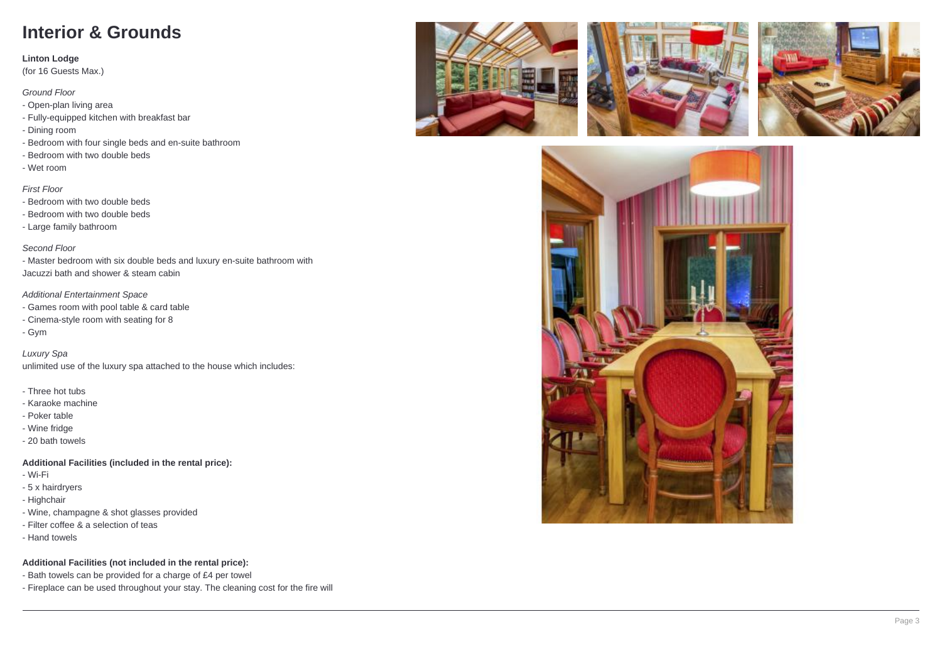# **Interior & Grounds**

#### **Linton Lodge**

(for 16 Guests Max.)

### Ground Floor

- Open-plan living area
- Fully-equipped kitchen with breakfast bar
- Dining room
- Bedroom with four single beds and en-suite bathroom
- Bedroom with two double beds
- Wet room

### First Floor

- Bedroom with two double beds
- Bedroom with two double beds
- Large family bathroom

### Second Floor

- Master bedroom with six double beds and luxury en-suite bathroom with Jacuzzi bath and shower & steam cabin

### Additional Entertainment Space

- Games room with pool table & card table
- Cinema-style room with seating for 8
- Gym

Luxury Spa

unlimited use of the luxury spa attached to the house which includes:

- Three hot tubs
- Karaoke machine
- Poker table
- Wine fridge
- 20 bath towels

### **Additional Facilities (included in the rental price):**

- Wi-Fi

- 5 x hairdryers
- Highchair
- Wine, champagne & shot glasses provided
- Filter coffee & a selection of teas
- Hand towels

### **Additional Facilities (not included in the rental price):**

- Bath towels can be provided for a charge of £4 per towel
- Fireplace can be used throughout your stay. The cleaning cost for the fire will







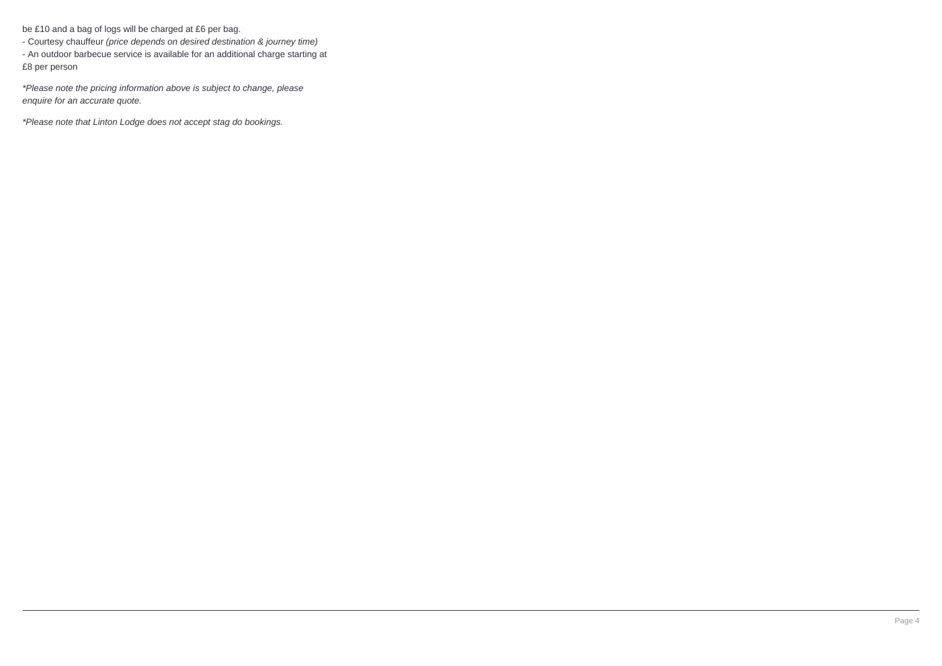be £10 and a bag of logs will be charged at £6 per bag.

- Courtesy chauffeur (price depends on desired destination & journey time) - An outdoor barbecue service is available for an additional charge starting at £8 per person

\*Please note the pricing information above is subject to change, please enquire for an accurate quote.

\*Please note that Linton Lodge does not accept stag do bookings.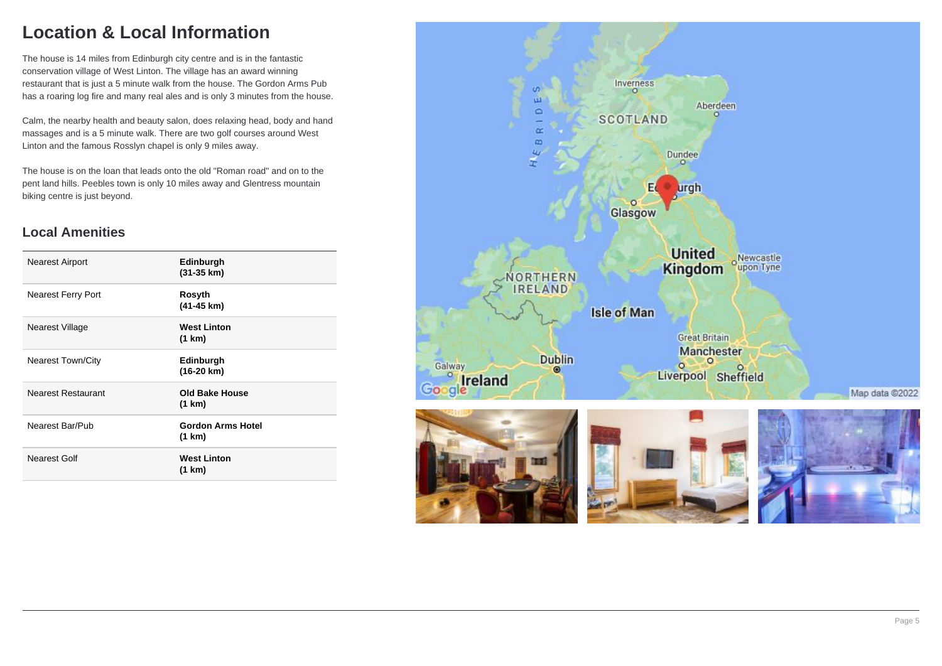# **Location & Local Information**

The house is 14 miles from Edinburgh city centre and is in the fantastic conservation village of West Linton. The village has an award winning restaurant that is just a 5 minute walk from the house. The Gordon Arms Pub has a roaring log fire and many real ales and is only 3 minutes from the house.

Calm, the nearby health and beauty salon, does relaxing head, body and hand massages and is a 5 minute walk. There are two golf courses around West Linton and the famous Rosslyn chapel is only 9 miles away.

The house is on the loan that leads onto the old "Roman road" and on to the pent land hills. Peebles town is only 10 miles away and Glentress mountain biking centre is just beyond.

## **Local Amenities**

| <b>Nearest Airport</b>    | Edinburgh<br>$(31-35$ km)          |
|---------------------------|------------------------------------|
| <b>Nearest Ferry Port</b> | Rosyth<br>(41-45 km)               |
| <b>Nearest Village</b>    | <b>West Linton</b><br>(1 km)       |
| <b>Nearest Town/City</b>  | Edinburgh<br>(16-20 km)            |
| <b>Nearest Restaurant</b> | Old Bake House<br>(1 km)           |
| Nearest Bar/Pub           | <b>Gordon Arms Hotel</b><br>(1 km) |
| Nearest Golf              | <b>West Linton</b><br>(1 km)       |

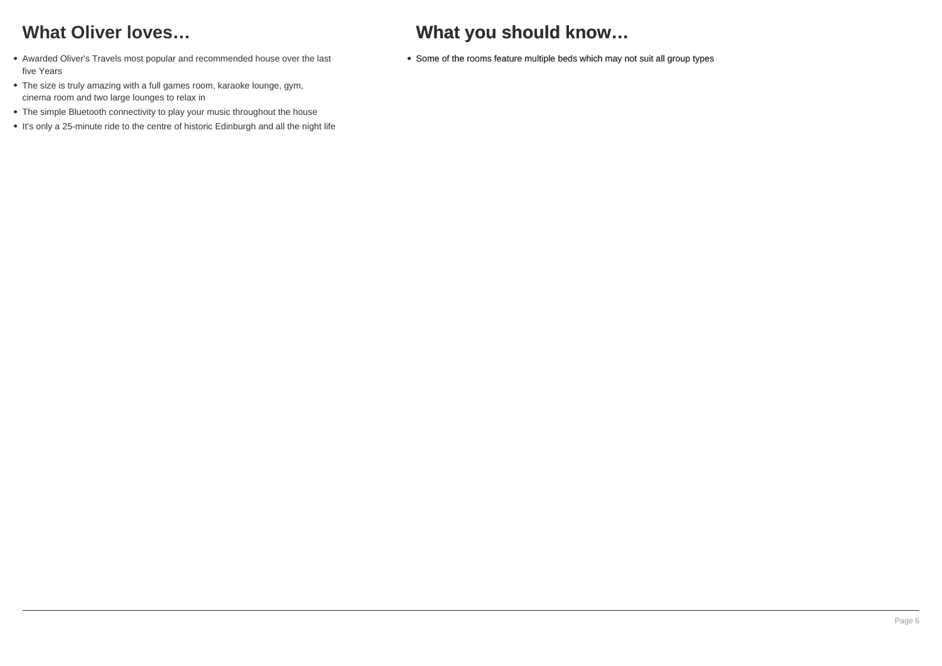# **What Oliver loves…**

- Awarded Oliver's Travels most popular and recommended house over the last five Years
- The size is truly amazing with a full games room, karaoke lounge, gym, cinema room and two large lounges to relax in
- The simple Bluetooth connectivity to play your music throughout the house
- It's only a 25-minute ride to the centre of historic Edinburgh and all the night life

# **What you should know…**

Some of the rooms feature multiple beds which may not suit all group types